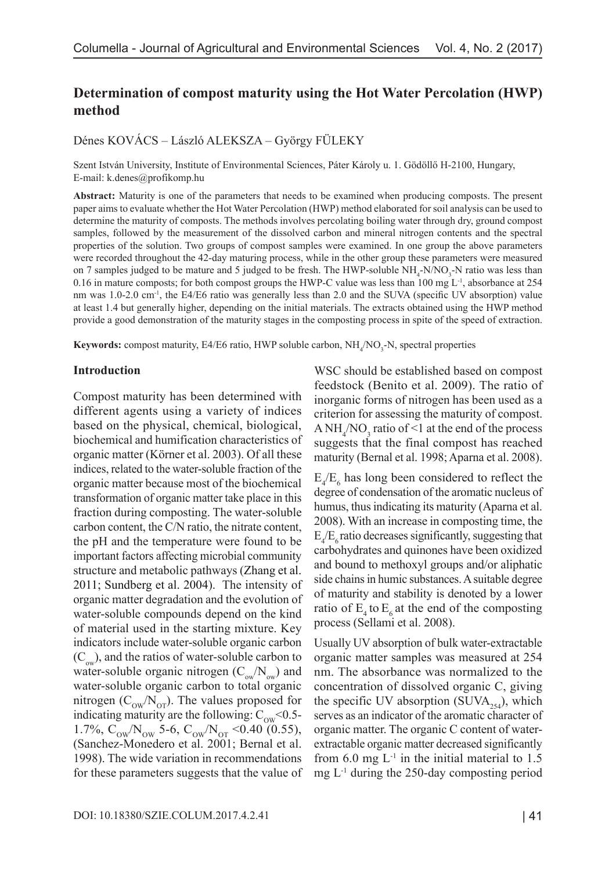# **Determination of compost maturity using the Hot Water Percolation (HWP) method**

Dénes KOVÁCS – László ALEKSZA – György FÜLEKY

Szent István University, Institute of Environmental Sciences, Páter Károly u. 1. Gödöllő H-2100, Hungary, E-mail: k.denes@profikomp.hu

**Abstract:** Maturity is one of the parameters that needs to be examined when producing composts. The present paper aims to evaluate whether the Hot Water Percolation (HWP) method elaborated for soil analysis can be used to determine the maturity of composts. The methods involves percolating boiling water through dry, ground compost samples, followed by the measurement of the dissolved carbon and mineral nitrogen contents and the spectral properties of the solution. Two groups of compost samples were examined. In one group the above parameters were recorded throughout the 42-day maturing process, while in the other group these parameters were measured on 7 samples judged to be mature and 5 judged to be fresh. The HWP-soluble NH<sub>4</sub>-N/NO<sub>3</sub>-N ratio was less than 0.16 in mature composts; for both compost groups the HWP-C value was less than 100 mg L-1, absorbance at 254 nm was 1.0-2.0 cm-1, the E4/E6 ratio was generally less than 2.0 and the SUVA (specific UV absorption) value at least 1.4 but generally higher, depending on the initial materials. The extracts obtained using the HWP method provide a good demonstration of the maturity stages in the composting process in spite of the speed of extraction.

**Keywords:** compost maturity, E4/E6 ratio, HWP soluble carbon, NH<sub>4</sub>/NO<sub>3</sub>-N, spectral properties

#### **Introduction**

Compost maturity has been determined with different agents using a variety of indices based on the physical, chemical, biological, biochemical and humification characteristics of organic matter (Körner et al. 2003). Of all these indices, related to the water-soluble fraction of the organic matter because most of the biochemical transformation of organic matter take place in this fraction during composting. The water-soluble carbon content, the C/N ratio, the nitrate content, the pH and the temperature were found to be important factors affecting microbial community structure and metabolic pathways (Zhang et al. 2011; Sundberg et al. 2004). The intensity of organic matter degradation and the evolution of water-soluble compounds depend on the kind of material used in the starting mixture. Key indicators include water-soluble organic carbon  $(C_{\infty})$ , and the ratios of water-soluble carbon to water-soluble organic nitrogen  $(C_{\text{ow}}/N_{\text{ow}})$  and water-soluble organic carbon to total organic nitrogen  $(C_{\text{ow}}/N_{\text{OT}})$ . The values proposed for indicating maturity are the following:  $C_{\text{ow}}$  <0.5-1.7%,  $C_{\text{ow}}/N_{\text{ow}}$  5-6,  $C_{\text{ow}}/N_{\text{or}}$  <0.40 (0.55), (Sanchez-Monedero et al. 2001; Bernal et al. 1998). The wide variation in recommendations for these parameters suggests that the value of WSC should be established based on compost feedstock (Benito et al. 2009). The ratio of inorganic forms of nitrogen has been used as a criterion for assessing the maturity of compost. A  $NH_4/NO_3$  ratio of <1 at the end of the process suggests that the final compost has reached maturity (Bernal et al. 1998; Aparna et al. 2008).

 $E_4/E_6$  has long been considered to reflect the degree of condensation of the aromatic nucleus of humus, thus indicating its maturity (Aparna et al. 2008). With an increase in composting time, the  $E_4/E_6$  ratio decreases significantly, suggesting that carbohydrates and quinones have been oxidized and bound to methoxyl groups and/or aliphatic side chains in humic substances. A suitable degree of maturity and stability is denoted by a lower ratio of  $E_4$  to  $E_6$  at the end of the composting process (Sellami et al. 2008).

Usually UV absorption of bulk water-extractable organic matter samples was measured at 254 nm. The absorbance was normalized to the concentration of dissolved organic C, giving the specific UV absorption (SUVA<sub>254</sub>), which serves as an indicator of the aromatic character of organic matter. The organic C content of waterextractable organic matter decreased significantly from  $6.0$  mg  $L^{-1}$  in the initial material to  $1.5$ mg L-1 during the 250-day composting period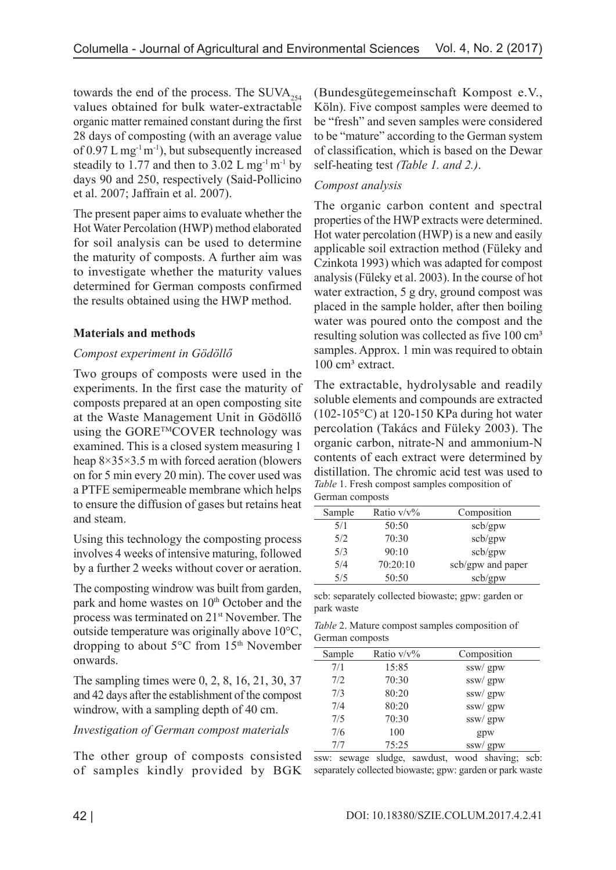towards the end of the process. The  $\text{SUVA}_{254}$ values obtained for bulk water-extractable organic matter remained constant during the first 28 days of composting (with an average value of  $0.97$  L mg<sup>-1</sup> m<sup>-1</sup>), but subsequently increased steadily to 1.77 and then to 3.02 L mg<sup>-1</sup> m<sup>-1</sup> by days 90 and 250, respectively (Said-Pollicino et al. 2007; Jaffrain et al. 2007).

The present paper aims to evaluate whether the Hot Water Percolation (HWP) method elaborated for soil analysis can be used to determine the maturity of composts. A further aim was to investigate whether the maturity values determined for German composts confirmed the results obtained using the HWP method.

# **Materials and methods**

# *Compost experiment in Gödöllő*

Two groups of composts were used in the experiments. In the first case the maturity of composts prepared at an open composting site at the Waste Management Unit in Gödöllő using the GORE™COVER technology was examined. This is a closed system measuring 1 heap 8×35×3.5 m with forced aeration (blowers on for 5 min every 20 min). The cover used was a PTFE semipermeable membrane which helps to ensure the diffusion of gases but retains heat and steam.

Using this technology the composting process involves 4 weeks of intensive maturing, followed by a further 2 weeks without cover or aeration.

The composting windrow was built from garden, park and home wastes on 10<sup>th</sup> October and the process was terminated on 21st November. The outside temperature was originally above 10°C, dropping to about 5°C from 15<sup>th</sup> November onwards.

The sampling times were 0, 2, 8, 16, 21, 30, 37 and 42 days after the establishment of the compost windrow, with a sampling depth of 40 cm.

### *Investigation of German compost materials*

The other group of composts consisted of samples kindly provided by BGK (Bundesgütegemeinschaft Kompost e.V., Köln). Five compost samples were deemed to be "fresh" and seven samples were considered to be "mature" according to the German system of classification, which is based on the Dewar self-heating test *(Table 1. and 2.)*.

# *Compost analysis*

The organic carbon content and spectral properties of the HWP extracts were determined. Hot water percolation (HWP) is a new and easily applicable soil extraction method (Füleky and Czinkota 1993) which was adapted for compost analysis (Füleky et al. 2003). In the course of hot water extraction, 5 g dry, ground compost was placed in the sample holder, after then boiling water was poured onto the compost and the resulting solution was collected as five 100 cm<sup>3</sup> samples. Approx. 1 min was required to obtain 100 cm<sup>3</sup> extract.

The extractable, hydrolysable and readily soluble elements and compounds are extracted  $(102-105\degree C)$  at 120-150 KPa during hot water percolation (Takács and Füleky 2003). The organic carbon, nitrate-N and ammonium-N contents of each extract were determined by distillation. The chromic acid test was used to *Table* 1. Fresh compost samples composition of German composts

| Sample | Ratio $v/v\%$ | Composition       |  |  |  |
|--------|---------------|-------------------|--|--|--|
| 5/1    | 50:50         | scb/gpw           |  |  |  |
| 5/2    | 70:30         | scb/gpw           |  |  |  |
| 5/3    | 90:10         | scb/gpw           |  |  |  |
| 5/4    | 70:20:10      | scb/gpw and paper |  |  |  |
| 5/5    | 50:50         | scb/gpw           |  |  |  |

scb: separately collected biowaste; gpw: garden or park waste

*Table* 2. Mature compost samples composition of German composts

| Sample | Ratio $v/v\%$ | Composition |
|--------|---------------|-------------|
| 7/1    | 15:85         | ssw/ gpw    |
| 7/2    | 70:30         | ssw/ gpw    |
| 7/3    | 80:20         | ssw/ gpw    |
| 7/4    | 80:20         | ssw/ gpw    |
| 7/5    | 70:30         | ssw/ gpw    |
| 7/6    | 100           | gpw         |
| 7/7    | 75:25         | ssw/gpw     |

ssw: sewage sludge, sawdust, wood shaving; scb: separately collected biowaste; gpw: garden or park waste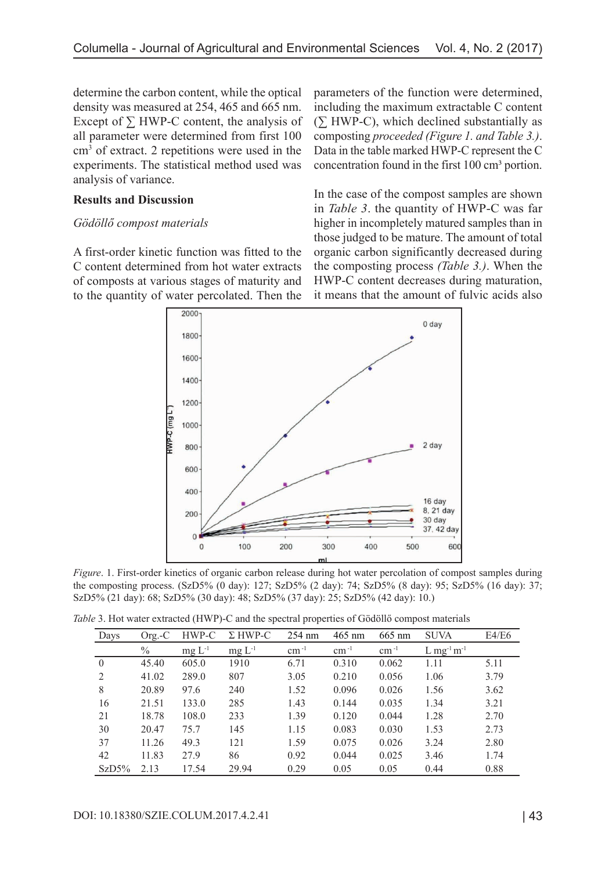determine the carbon content, while the optical density was measured at 254, 465 and 665 nm. Except of  $\Sigma$  HWP-C content, the analysis of all parameter were determined from first 100 cm3 of extract. 2 repetitions were used in the experiments. The statistical method used was analysis of variance.

### **Results and Discussion**

### *Gödöllő compost materials*

A first-order kinetic function was fitted to the C content determined from hot water extracts of composts at various stages of maturity and to the quantity of water percolated. Then the

parameters of the function were determined, including the maximum extractable C content (∑ HWP-C), which declined substantially as composting *proceeded (Figure 1. and Table 3.)*. Data in the table marked HWP-C represent the C concentration found in the first 100 cm<sup>3</sup> portion.

In the case of the compost samples are shown in *Table 3*. the quantity of HWP-C was far higher in incompletely matured samples than in those judged to be mature. The amount of total organic carbon significantly decreased during the composting process *(Table 3.)*. When the HWP-C content decreases during maturation, it means that the amount of fulvic acids also



*Figure*. 1. First-order kinetics of organic carbon release during hot water percolation of compost samples during the composting process. (SzD5% (0 day): 127; SzD5% (2 day): 74; SzD5% (8 day): 95; SzD5% (16 day): 37; SzD5% (21 day): 68; SzD5% (30 day): 48; SzD5% (37 day): 25; SzD5% (42 day): 10.)

*Table* 3. Hot water extracted (HWP)-C and the spectral properties of Gödöllő compost materials

| Days     | $Org.-C$ | HWP-C       | $\Sigma$ HWP-C | $254 \text{ nm}$ | $465$ nm      | $665$ nm  | <b>SUVA</b>                          | E4/E6 |
|----------|----------|-------------|----------------|------------------|---------------|-----------|--------------------------------------|-------|
|          | $\%$     | $mg L^{-1}$ | $mg L^{-1}$    | $cm^{-1}$        | $\rm cm^{-1}$ | $cm^{-1}$ | $L$ mg <sup>-1</sup> m <sup>-1</sup> |       |
| $\theta$ | 45.40    | 605.0       | 1910           | 6.71             | 0.310         | 0.062     | 1.11                                 | 5.11  |
| 2        | 41.02    | 289.0       | 807            | 3.05             | 0.210         | 0.056     | 1.06                                 | 3.79  |
| 8        | 20.89    | 97.6        | 240            | 1.52             | 0.096         | 0.026     | 1.56                                 | 3.62  |
| 16       | 21.51    | 133.0       | 285            | 1.43             | 0.144         | 0.035     | 1.34                                 | 3.21  |
| 21       | 18.78    | 108.0       | 233            | 1.39             | 0.120         | 0.044     | 1.28                                 | 2.70  |
| 30       | 20.47    | 75.7        | 145            | 1.15             | 0.083         | 0.030     | 1.53                                 | 2.73  |
| 37       | 11.26    | 49.3        | 121            | 1.59             | 0.075         | 0.026     | 3.24                                 | 2.80  |
| 42       | 11.83    | 27.9        | 86             | 0.92             | 0.044         | 0.025     | 3.46                                 | 1.74  |
| SzD5%    | 2.13     | 17.54       | 29.94          | 0.29             | 0.05          | 0.05      | 0.44                                 | 0.88  |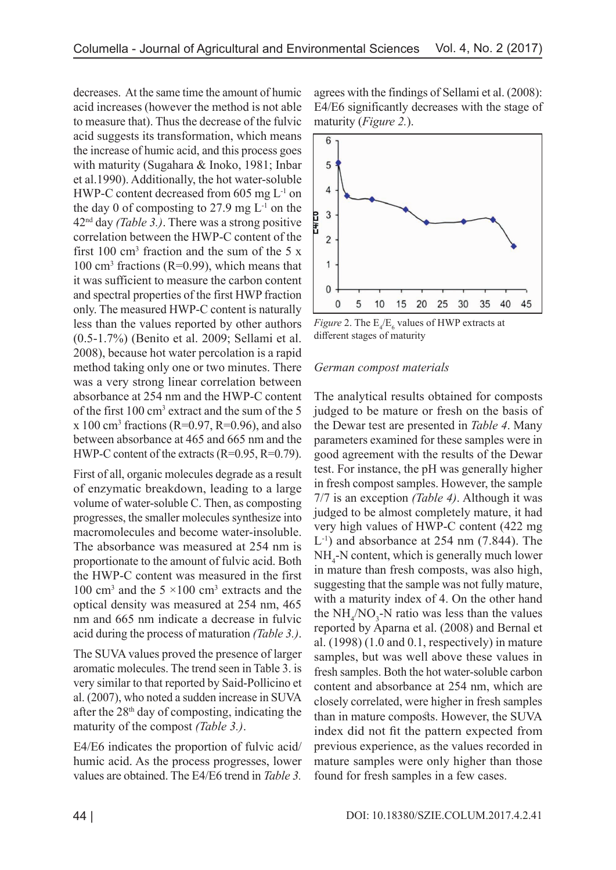decreases. At the same time the amount of humic acid increases (however the method is not able to measure that). Thus the decrease of the fulvic acid suggests its transformation, which means the increase of humic acid, and this process goes with maturity (Sugahara & Inoko, 1981; Inbar et al.1990). Additionally, the hot water-soluble HWP-C content decreased from 605 mg L-1 on the day 0 of composting to 27.9 mg  $L^{-1}$  on the 42nd day *(Table 3.)*. There was a strong positive correlation between the HWP-C content of the first  $100 \text{ cm}^3$  fraction and the sum of the 5 x 100 cm<sup>3</sup> fractions (R=0.99), which means that it was sufficient to measure the carbon content and spectral properties of the first HWP fraction only. The measured HWP-C content is naturally less than the values reported by other authors (0.5-1.7%) (Benito et al. 2009; Sellami et al. 2008), because hot water percolation is a rapid method taking only one or two minutes. There was a very strong linear correlation between absorbance at 254 nm and the HWP-C content of the first 100 cm<sup>3</sup> extract and the sum of the 5  $x$  100 cm<sup>3</sup> fractions (R=0.97, R=0.96), and also between absorbance at 465 and 665 nm and the HWP-C content of the extracts (R=0.95, R=0.79).

First of all, organic molecules degrade as a result of enzymatic breakdown, leading to a large volume of water-soluble C. Then, as composting progresses, the smaller molecules synthesize into macromolecules and become water-insoluble. The absorbance was measured at 254 nm is proportionate to the amount of fulvic acid. Both the HWP-C content was measured in the first 100 cm<sup>3</sup> and the  $5 \times 100$  cm<sup>3</sup> extracts and the optical density was measured at 254 nm, 465 nm and 665 nm indicate a decrease in fulvic acid during the process of maturation *(Table 3.)*.

The SUVA values proved the presence of larger aromatic molecules. The trend seen in Table 3. is very similar to that reported by Said-Pollicino et al. (2007), who noted a sudden increase in SUVA after the  $28<sup>th</sup>$  day of composting, indicating the maturity of the compost *(Table 3.)*.

E4/E6 indicates the proportion of fulvic acid/ humic acid. As the process progresses, lower values are obtained. The E4/E6 trend in *Table 3.* agrees with the findings of Sellami et al. (2008): E4/E6 significantly decreases with the stage of maturity (*Figure 2.*).



*Figure* 2. The  $E_4/E_6$  values of HWP extracts at different stages of maturity

### *German compost materials*

The analytical results obtained for composts judged to be mature or fresh on the basis of the Dewar test are presented in *Table 4*. Many parameters examined for these samples were in good agreement with the results of the Dewar test. For instance, the pH was generally higher in fresh compost samples. However, the sample 7/7 is an exception *(Table 4)*. Although it was judged to be almost completely mature, it had very high values of HWP-C content (422 mg L-1) and absorbance at 254 nm (7.844). The NH4 -N content, which is generally much lower in mature than fresh composts, was also high, suggesting that the sample was not fully mature, with a maturity index of 4. On the other hand the  $NH_4/NO_3-N$  ratio was less than the values reported by Aparna et al. (2008) and Bernal et al. (1998) (1.0 and 0.1, respectively) in mature samples, but was well above these values in fresh samples. Both the hot water-soluble carbon content and absorbance at 254 nm, which are closely correlated, were higher in fresh samples than in mature composts. However, the SUVA index did not fit the pattern expected from previous experience, as the values recorded in mature samples were only higher than those found for fresh samples in a few cases.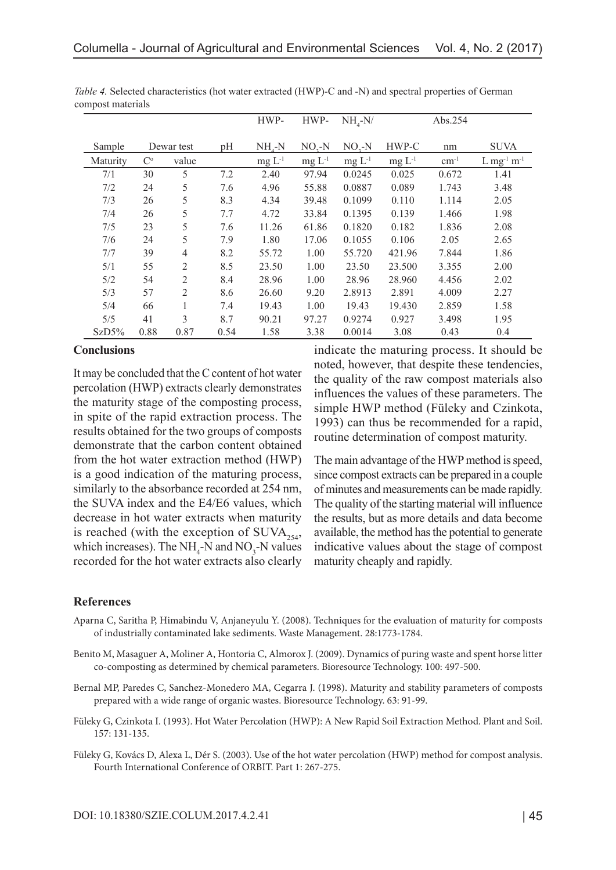|          |             |                |      | HWP-        | HWP-     | $NH_{4}-N/$ |             | Abs.254   |                                      |
|----------|-------------|----------------|------|-------------|----------|-------------|-------------|-----------|--------------------------------------|
|          |             |                |      |             |          |             |             |           |                                      |
| Sample   |             | Dewar test     | pH   | $NHr-N$     | $NO2-N$  | $NO2-N$     | HWP-C       | nm        | <b>SUVA</b>                          |
| Maturity | $C^{\circ}$ | value          |      | $mg L^{-1}$ | $mg L-1$ | $mg L^{-1}$ | $mg L^{-1}$ | $cm^{-1}$ | $L$ mg <sup>-1</sup> m <sup>-1</sup> |
| 7/1      | 30          | 5              | 7.2  | 2.40        | 97.94    | 0.0245      | 0.025       | 0.672     | 1.41                                 |
| 7/2      | 24          | 5              | 7.6  | 4.96        | 55.88    | 0.0887      | 0.089       | 1.743     | 3.48                                 |
| 7/3      | 26          | 5              | 8.3  | 4.34        | 39.48    | 0.1099      | 0.110       | 1.114     | 2.05                                 |
| 7/4      | 26          | 5              | 7.7  | 4.72        | 33.84    | 0.1395      | 0.139       | 1.466     | 1.98                                 |
| 7/5      | 23          | 5              | 7.6  | 11.26       | 61.86    | 0.1820      | 0.182       | 1.836     | 2.08                                 |
| 7/6      | 24          | 5              | 7.9  | 1.80        | 17.06    | 0.1055      | 0.106       | 2.05      | 2.65                                 |
| 7/7      | 39          | $\overline{4}$ | 8.2  | 55.72       | 1.00     | 55.720      | 421.96      | 7.844     | 1.86                                 |
| 5/1      | 55          | 2              | 8.5  | 23.50       | 1.00     | 23.50       | 23.500      | 3.355     | 2.00                                 |
| 5/2      | 54          | $\overline{2}$ | 8.4  | 28.96       | 1.00     | 28.96       | 28.960      | 4.456     | 2.02                                 |
| 5/3      | 57          | $\overline{2}$ | 8.6  | 26.60       | 9.20     | 2.8913      | 2.891       | 4.009     | 2.27                                 |
| 5/4      | 66          | 1              | 7.4  | 19.43       | 1.00     | 19.43       | 19.430      | 2.859     | 1.58                                 |
| 5/5      | 41          | 3              | 8.7  | 90.21       | 97.27    | 0.9274      | 0.927       | 3.498     | 1.95                                 |
| SzD5%    | 0.88        | 0.87           | 0.54 | 1.58        | 3.38     | 0.0014      | 3.08        | 0.43      | 0.4                                  |

*Table 4.* Selected characteristics (hot water extracted (HWP)-C and -N) and spectral properties of German compost materials

#### **Conclusions**

It may be concluded that the C content of hot water percolation (HWP) extracts clearly demonstrates the maturity stage of the composting process, in spite of the rapid extraction process. The results obtained for the two groups of composts demonstrate that the carbon content obtained from the hot water extraction method (HWP) is a good indication of the maturing process, similarly to the absorbance recorded at 254 nm, the SUVA index and the E4/E6 values, which decrease in hot water extracts when maturity is reached (with the exception of  $\text{SUVA}_{254}$ , which increases). The  $NH_4$ -N and  $NO_3$ -N values recorded for the hot water extracts also clearly

indicate the maturing process. It should be noted, however, that despite these tendencies, the quality of the raw compost materials also influences the values of these parameters. The simple HWP method (Füleky and Czinkota, 1993) can thus be recommended for a rapid, routine determination of compost maturity.

The main advantage of the HWP method is speed, since compost extracts can be prepared in a couple of minutes and measurements can be made rapidly. The quality of the starting material will influence the results, but as more details and data become available, the method has the potential to generate indicative values about the stage of compost maturity cheaply and rapidly.

### **References**

- Aparna C, Saritha P, Himabindu V, Anjaneyulu Y. (2008). Techniques for the evaluation of maturity for composts of industrially contaminated lake sediments. Waste Management. 28:1773-1784.
- Benito M, Masaguer A, Moliner A, Hontoria C, Almorox J. (2009). Dynamics of puring waste and spent horse litter co-composting as determined by chemical parameters. Bioresource Technology. 100: 497-500.
- Bernal MP, Paredes C, Sanchez-Monedero MA, Cegarra J. (1998). Maturity and stability parameters of composts prepared with a wide range of organic wastes. Bioresource Technology. 63: 91-99.
- Füleky G, Czinkota I. (1993). Hot Water Percolation (HWP): A New Rapid Soil Extraction Method. Plant and Soil. 157: 131-135.
- Füleky G, Kovács D, Alexa L, Dér S. (2003). Use of the hot water percolation (HWP) method for compost analysis. Fourth International Conference of ORBIT. Part 1: 267-275.